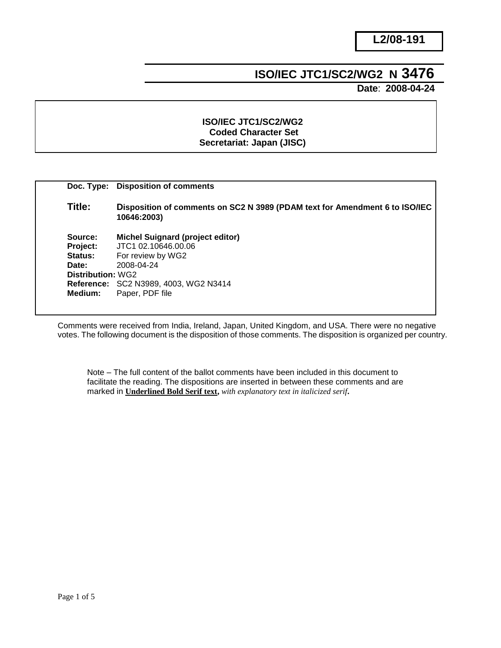# **ISO/IEC JTC1/SC2/WG2 N 3476**

 **Date**: **2008-04-24**

#### **ISO/IEC JTC1/SC2/WG2 Coded Character Set Secretariat: Japan (JISC)**

|                   | Doc. Type: Disposition of comments                                                         |
|-------------------|--------------------------------------------------------------------------------------------|
| Title:            | Disposition of comments on SC2 N 3989 (PDAM text for Amendment 6 to ISO/IEC<br>10646:2003) |
| Source:           | <b>Michel Suignard (project editor)</b>                                                    |
| Project:          | JTC1 02.10646.00.06                                                                        |
| <b>Status:</b>    | For review by WG2                                                                          |
| Date:             | 2008-04-24                                                                                 |
| Distribution: WG2 |                                                                                            |
|                   | <b>Reference: SC2 N3989, 4003, WG2 N3414</b>                                               |
| Medium:           | Paper, PDF file                                                                            |
|                   |                                                                                            |

Comments were received from India, Ireland, Japan, United Kingdom, and USA. There were no negative votes. The following document is the disposition of those comments. The disposition is organized per country.

Note – The full content of the ballot comments have been included in this document to facilitate the reading. The dispositions are inserted in between these comments and are marked in **Underlined Bold Serif text,** *with explanatory text in italicized serif***.**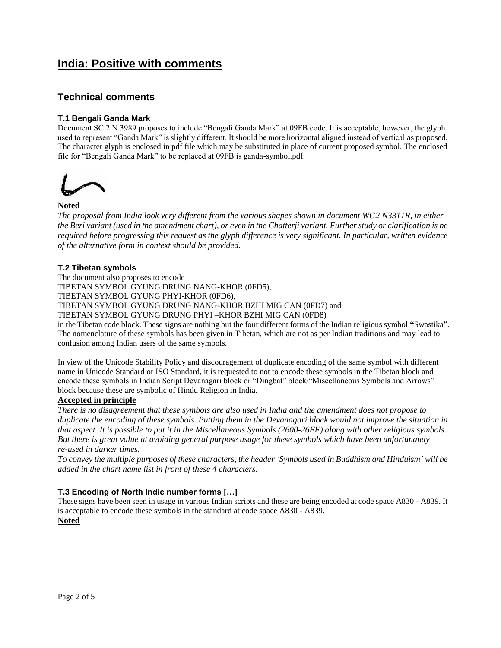# **India: Positive with comments**

### **Technical comments**

#### **T.1 Bengali Ganda Mark**

Document SC 2 N 3989 proposes to include "Bengali Ganda Mark" at 09FB code. It is acceptable, however, the glyph used to represent "Ganda Mark" is slightly different. It should be more horizontal aligned instead of vertical as proposed. The character glyph is enclosed in pdf file which may be substituted in place of current proposed symbol. The enclosed file for "Bengali Ganda Mark" to be replaced at 09FB is ganda-symbol.pdf.



#### **Noted**

*The proposal from India look very different from the various shapes shown in document WG2 N3311R, in either the Beri variant (used in the amendment chart), or even in the Chatterji variant. Further study or clarification is be required before progressing this request as the glyph difference is very significant. In particular, written evidence of the alternative form in context should be provided.*

#### **T.2 Tibetan symbols**

The document also proposes to encode TIBETAN SYMBOL GYUNG DRUNG NANG-KHOR (0FD5), TIBETAN SYMBOL GYUNG PHYI-KHOR (0FD6), TIBETAN SYMBOL GYUNG DRUNG NANG-KHOR BZHI MIG CAN (0FD7) and TIBETAN SYMBOL GYUNG DRUNG PHYI –KHOR BZHI MIG CAN (0FD8) in the Tibetan code block. These signs are nothing but the four different forms of the Indian religious symbol **"**Swastika**"**.

The nomenclature of these symbols has been given in Tibetan, which are not as per Indian traditions and may lead to confusion among Indian users of the same symbols.

In view of the Unicode Stability Policy and discouragement of duplicate encoding of the same symbol with different name in Unicode Standard or ISO Standard, it is requested to not to encode these symbols in the Tibetan block and encode these symbols in Indian Script Devanagari block or "Dingbat" block/"Miscellaneous Symbols and Arrows" block because these are symbolic of Hindu Religion in India.

#### **Accepted in principle**

*There is no disagreement that these symbols are also used in India and the amendment does not propose to duplicate the encoding of these symbols. Putting them in the Devanagari block would not improve the situation in that aspect. It is possible to put it in the Miscellaneous Symbols (2600-26FF) along with other religious symbols. But there is great value at avoiding general purpose usage for these symbols which have been unfortunately re-used in darker times.*

*To convey the multiple purposes of these characters, the header 'Symbols used in Buddhism and Hinduism' will be added in the chart name list in front of these 4 characters.*

#### **T.3 Encoding of North Indic number forms […]**

These signs have been seen in usage in various Indian scripts and these are being encoded at code space A830 - A839. It is acceptable to encode these symbols in the standard at code space A830 - A839. **Noted**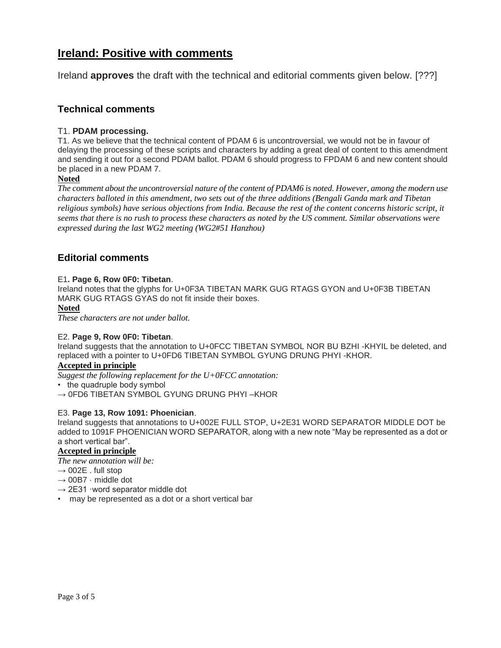# **Ireland: Positive with comments**

Ireland **approves** the draft with the technical and editorial comments given below. [???]

### **Technical comments**

#### T1. **PDAM processing.**

T1. As we believe that the technical content of PDAM 6 is uncontroversial, we would not be in favour of delaying the processing of these scripts and characters by adding a great deal of content to this amendment and sending it out for a second PDAM ballot. PDAM 6 should progress to FPDAM 6 and new content should be placed in a new PDAM 7.

#### **Noted**

*The comment about the uncontroversial nature of the content of PDAM6 is noted. However, among the modern use characters balloted in this amendment, two sets out of the three additions (Bengali Ganda mark and Tibetan religious symbols) have serious objections from India. Because the rest of the content concerns historic script, it seems that there is no rush to process these characters as noted by the US comment. Similar observations were expressed during the last WG2 meeting (WG2#51 Hanzhou)*

### **Editorial comments**

#### E1**. Page 6, Row 0F0: Tibetan**.

Ireland notes that the glyphs for U+0F3A TIBETAN MARK GUG RTAGS GYON and U+0F3B TIBETAN MARK GUG RTAGS GYAS do not fit inside their boxes.

#### **Noted**

*These characters are not under ballot.*

#### E2. **Page 9, Row 0F0: Tibetan**.

Ireland suggests that the annotation to U+0FCC TIBETAN SYMBOL NOR BU BZHI -KHYIL be deleted, and replaced with a pointer to U+0FD6 TIBETAN SYMBOL GYUNG DRUNG PHYI -KHOR.

#### **Accepted in principle**

*Suggest the following replacement for the U+0FCC annotation:*

• the quadruple body symbol

 $\rightarrow$  0FD6 TIBETAN SYMBOL GYUNG DRUNG PHYI-KHOR

#### E3. **Page 13, Row 1091: Phoenician**.

Ireland suggests that annotations to U+002E FULL STOP, U+2E31 WORD SEPARATOR MIDDLE DOT be added to 1091F PHOENICIAN WORD SEPARATOR, along with a new note "May be represented as a dot or a short vertical bar".

#### **Accepted in principle**

*The new annotation will be:*

- $\rightarrow$  002E . full stop
- $\rightarrow$  00B7  $\cdot$  middle dot
- $\rightarrow$  2E31 ·word separator middle dot
- may be represented as a dot or a short vertical bar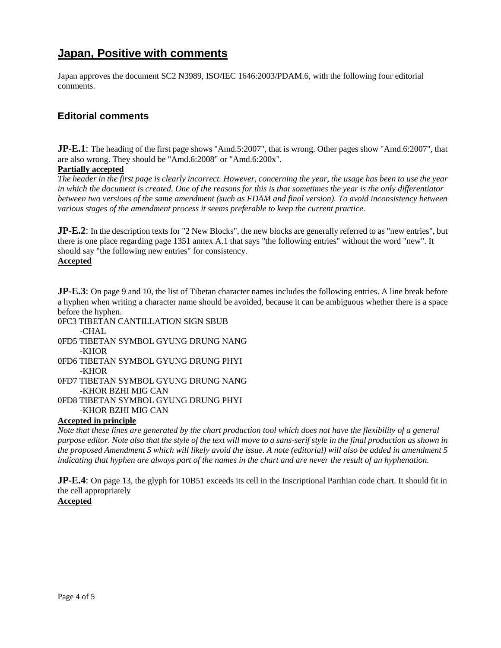# **Japan, Positive with comments**

Japan approves the document SC2 N3989, ISO/IEC 1646:2003/PDAM.6, with the following four editorial comments.

## **Editorial comments**

**JP-E.1**: The heading of the first page shows "Amd.5:2007", that is wrong. Other pages show "Amd.6:2007", that are also wrong. They should be "Amd.6:2008" or "Amd.6:200x".

#### **Partially accepted**

*The header in the first page is clearly incorrect. However, concerning the year, the usage has been to use the year in which the document is created. One of the reasons for this is that sometimes the year is the only differentiator between two versions of the same amendment (such as FDAM and final version). To avoid inconsistency between various stages of the amendment process it seems preferable to keep the current practice.*

**JP-E.2**: In the description texts for "2 New Blocks", the new blocks are generally referred to as "new entries", but there is one place regarding page 1351 annex A.1 that says "the following entries" without the word "new". It should say "the following new entries" for consistency.

#### **Accepted**

**JP-E.3**: On page 9 and 10, the list of Tibetan character names includes the following entries. A line break before a hyphen when writing a character name should be avoided, because it can be ambiguous whether there is a space before the hyphen.

0FC3 TIBETAN CANTILLATION SIGN SBUB  $-CHAI$ 

- 0FD5 TIBETAN SYMBOL GYUNG DRUNG NANG -KHOR
- 0FD6 TIBETAN SYMBOL GYUNG DRUNG PHYI -KHOR 0FD7 TIBETAN SYMBOL GYUNG DRUNG NANG -KHOR BZHI MIG CAN 0FD8 TIBETAN SYMBOL GYUNG DRUNG PHYI

-KHOR BZHI MIG CAN

#### **Accepted in principle**

*Note that these lines are generated by the chart production tool which does not have the flexibility of a general purpose editor. Note also that the style of the text will move to a sans-serif style in the final production as shown in the proposed Amendment 5 which will likely avoid the issue. A note (editorial) will also be added in amendment 5 indicating that hyphen are always part of the names in the chart and are never the result of an hyphenation.*

**JP-E.4**: On page 13, the glyph for 10B51 exceeds its cell in the Inscriptional Parthian code chart. It should fit in the cell appropriately

### **Accepted**